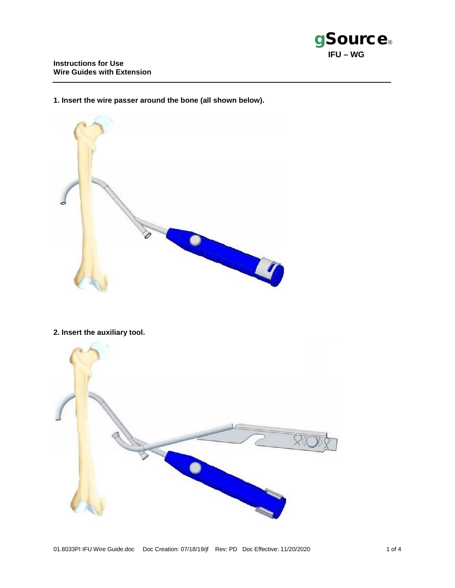

**1. Insert the wire passer around the bone (all shown below).** 



**2. Insert the auxiliary tool.**

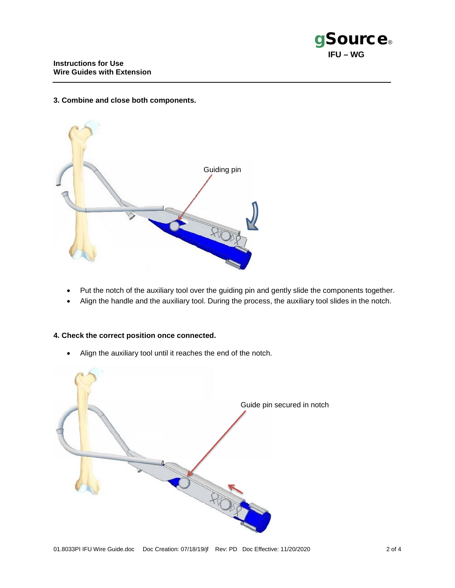## **3. Combine and close both components.**



- Put the notch of the auxiliary tool over the guiding pin and gently slide the components together.
- Align the handle and the auxiliary tool. During the process, the auxiliary tool slides in the notch.

## **4. Check the correct position once connected.**

• Align the auxiliary tool until it reaches the end of the notch.

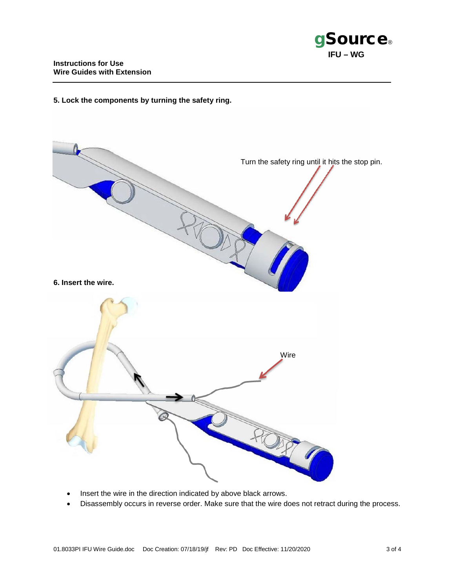

## **5. Lock the components by turning the safety ring.**



- Insert the wire in the direction indicated by above black arrows.
- Disassembly occurs in reverse order. Make sure that the wire does not retract during the process.